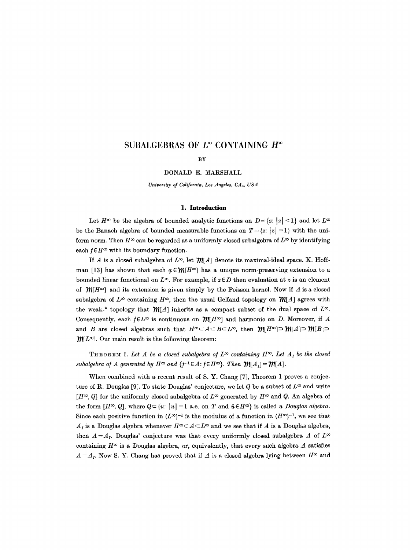# SUBALGEBRAS OF  $L^{\infty}$  CONTAINING  $H^{\infty}$

#### **BY**

DONALD E. MARSHALL

*University of California, Los Angeles, CA., USA* 

### **1. Introduction**

Let  $H^{\infty}$  be the algebra of bounded analytic functions on  $D = \{z: |z| \leq 1\}$  and let  $L^{\infty}$ be the Banach algebra of bounded measurable functions on  $T = \{z: |z| = 1\}$  with the uniform norm. Then  $H^{\infty}$  can be regarded as a uniformly closed subalgebra of  $L^{\infty}$  by identifying each  $f \in H^\infty$  with its boundary function.

If A is a closed subalgebra of  $L^{\infty}$ , let  $\mathcal{W}[A]$  denote its maximal-ideal space. K. Hoffman [13] has shown that each  $\varphi \in \mathcal{M}[H^\infty]$  has a unique norm-preserving extension to a bounded linear functional on  $L^{\infty}$ . For example, if  $z \in D$  then evaluation at z is an element of  $\mathcal{W}[H^\infty]$  and its extension is given simply by the Poisson kernel. Now if A is a closed subalgebra of  $L^{\infty}$  containing  $H^{\infty}$ , then the usual Gelfand topology on  $\mathcal{W}[A]$  agrees with the weak-\* topology that  $\mathcal{W}[A]$  inherits as a compact subset of the dual space of  $L^{\infty}$ . Consequently, each  $f \in L^{\infty}$  is continuous on  $\mathcal{W}[H^{\infty}]$  and harmonic on D. Moreover, if A and *B* are closed algebras such that  $H^{\infty} \subset A \subset B \subset L^{\infty}$ , then  $\mathcal{W}(H^{\infty}) \supset \mathcal{W}(A) \supset \mathcal{W}(B) \supset$  $M[L^{\infty}]$ . Our main result is the following theorem:

THEOREM 1. Let A be a closed subalgebra of  $L^\infty$  containing  $H^\infty$ . Let  $A_I$  be the closed *subalgebra of A generated by H*<sup> $\infty$ </sup> and { $f^{-1} \in A$ :  $f \in H^{\infty}$ }. Then  $\mathcal{W}[A_1] = \mathcal{W}[A]$ .

When combined with a recent result of S. Y. Chang  $[7]$ , Theorem 1 proves a conjecture of R. Douglas [9]. To state Douglas' conjecture, we let Q be a subset of  $L^{\infty}$  and write  $[H^{\infty}, Q]$  for the uniformly closed subalgebra of  $L^{\infty}$  generated by  $H^{\infty}$  and Q. An algebra of the form  $[H^{\infty}, Q]$ , where  $Q \subset \{u: |u| = 1 \text{ a.e. on } T \text{ and } \bar{u} \in H^{\infty}\}\$ is called a *Douglas algebra.* Since each positive function in  $(L^{\infty})^{-1}$  is the modulus of a function in  $(H^{\infty})^{-1}$ , we see that  $A<sub>I</sub>$  is a Douglas algebra whenever  $H<sup>∞</sup> \subset A \subset L<sup>∞</sup>$  and we see that if A is a Douglas algebra, then  $A = A<sub>I</sub>$ . Douglas' conjecture was that every uniformly closed subalgebra A of  $L^{\infty}$ containing  $H^{\infty}$  is a Douglas algebra, or, equivalently, that every such algebra A satisfies  $A = A<sub>I</sub>$ . Now S. Y. Chang has proved that if A is a closed algebra lying between  $H<sup>\infty</sup>$  and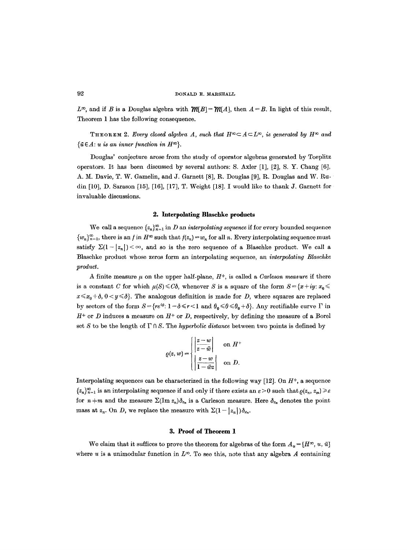$L^{\infty}$ , and if B is a Douglas algebra with  $\mathcal{W}[B] = \mathcal{W}[A]$ , then  $A = B$ . In light of this result, Theorem 1 has the following consequence.

THEOREM 2. *Every closed algebra A, such that*  $H^{\infty} \subset A \subset L^{\infty}$ , is generated by  $H^{\infty}$  and  $\{\bar{u} \in A: u \text{ is an inner function in } H^{\infty}\}.$ 

Douglas' conjecture arose from the study of operator algebras generated by Toeplitz operators. It has been discussed by several authors: S. Axler [1], [2], S. Y. Chang  $[6]$ , A. M. Davie, T. W. Gamelin, and J. Garnett [8], R. Douglas [9], R. Douglas and W. Rudin [10], D. Sarason [15], [16], [17], T. Weight [18]. I would like to thank J. Garnett for invaluable discussions.

#### **2. Interpolating Blaschke products**

We call a sequence  ${z_n}_{n=1}^{\infty}$  in D an *interpolating sequence* if for every bounded sequence  ${w_n}_{n=1}^{\infty}$ , there is an *f* in  $H^{\infty}$  such that  $f(z_n) = w_n$  for all *n*. Every interpolating sequence must satisfy  $\Sigma(1-|z_n|) < \infty$ , and so is the zero sequence of a Blaschke product. We call a Blaschke product whose zeros form an interpolating sequence, an *interpolating Blaschke*   $product.$ 

A finite measure  $\mu$  on the upper half-plane,  $H^+$ , is called a *Carleson measure* if there is a constant C for which  $\mu(S) \leq C\delta$ , whenever S is a square of the form  $S = \{x + iy : x_0 \leq \delta\}$  $x \le x_0 + \delta$ ,  $0 \lt y \le \delta$ . The analogous definition is made for D, where squares are replaced by sectors of the form  $S = {re^{i\theta}: 1-\delta \le r < 1}$  and  $\theta_0 \le \theta \le \theta_0 + \delta$ . Any rectifiable curve  $\Gamma$  in  $H^+$  or D induces a measure on  $H^+$  or D, respectively, by defining the measure of a Borel set S to be the length of  $\Gamma \cap S$ . The *hyperbolic distance* between two points is defined by

$$
\varrho(z,w) = \begin{cases} \left| \frac{z-w}{z-\bar{w}} \right| & \text{on } H^+ \\ \left| \frac{z-w}{1-\bar{w}z} \right| & \text{on } D. \end{cases}
$$

Interpolating sequences can be characterized in the following way  $[12]$ . On  $H<sup>+</sup>$ , a sequence  ${z_n}_{n=1}^{\infty}$  is an interpolating sequence if and only if there exists an  $\varepsilon > 0$  such that  $\rho(z_n, z_m) \geq \varepsilon$ for  $n=m$  and the measure  $\Sigma(\text{Im } z_n)\delta_{z_n}$  is a Carleson measure. Here  $\delta_{z_n}$  denotes the point mass at  $z_n$ . On D, we replace the measure with  $\Sigma(1-|z_n|)\delta_{z_n}$ .

## **3. Proof of Theorem 1**

We claim that it suffices to prove the theorem for algebras of the form  $A_u = [H^\infty, u, \bar{u}]$ where u is a unimodular function in  $L^{\infty}$ . To see this, note that any algebra A containing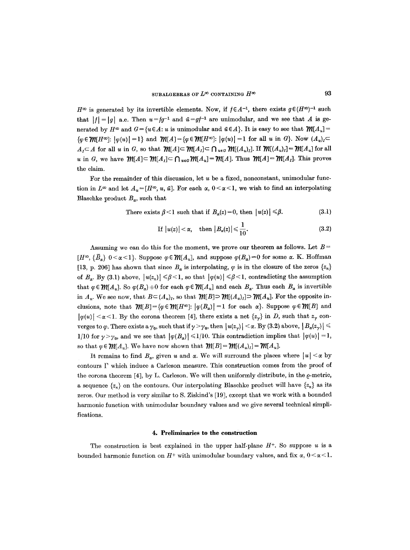$H^{\infty}$  is generated by its invertible elements. Now, if  $f \in A^{-1}$ , there exists  $g \in (H^{\infty})^{-1}$  such that  $|f| = |g|$  a.e. Then  $u = fg^{-1}$  and  $\bar{u} = gf^{-1}$  are unimodular, and we see that A is generated by  $H^{\infty}$  and  $G=\{u \in A: u \text{ is unimodular and } \bar{u} \in A\}$ . It is easy to see that  $\mathcal{W}[A_u]=$  ${\varphi \in \mathcal{M}[H^{\infty}]: |\varphi(u)| =1}$  and  ${\mathcal{M}}[A] = {\varphi \in \mathcal{M}[H^{\infty}]: |\varphi(u)| =1$  for all u in G. Now  $(A_u)_I \subset$  $A_I \subset A$  for all u in G, so that  $\mathcal{M}[A] \subset \mathcal{M}[A_I] \subset \bigcap_{u \in G} \mathcal{M}[(A_u)_I]$ . If  $\mathcal{M}[(A_u)_I] = \mathcal{M}[A_u]$  for all u in G, we have  $\mathcal{M}[A] \subset \mathcal{M}[A_I] \subset \bigcap_{u \in G} \mathcal{M}[A_u] = \mathcal{M}[A]$ . Thus  $\mathcal{M}[A] = \mathcal{M}[A_I]$ . This proves the claim.

For the remainder of this discussion, let  $u$  be a fixed, nonconstant, unimodular function in  $L^{\infty}$  and let  $A_u = [H^{\infty}, u, \bar{u}]$ . For each  $\alpha$ ,  $0 < \alpha < 1$ , we wish to find an interpolating Blaschke product  $B_{\alpha}$ , such that

There exists 
$$
\beta < 1
$$
 such that if  $B_{\alpha}(z) = 0$ , then  $|u(z)| \leq \beta$ .  $(3.1)$ 

If 
$$
|u(z)| < \alpha
$$
, then  $|B_{\alpha}(z)| \leq \frac{1}{10}$ . (3.2)

Assuming we can do this for the moment, we prove our theorem as follows. Let  $B =$  $[H^{\infty}, {\bar{B}_\alpha} \ 0<\alpha<1]$ . Suppose  $\varphi \in \mathcal{W}[A_u]$ , and suppose  $\varphi(B_\alpha)=0$  for some  $\alpha$ . K. Hoffman [13, p. 206] has shown that since  $B_{\alpha}$  is interpolating,  $\varphi$  is in the closure of the zeros  $\{z_n\}$ of  $B_{\alpha}$ . By (3.1) above,  $|u(z_n)| \leq \beta \leq 1$ , so that  $|\varphi(u)| \leq \beta \leq 1$ , contradicting the assumption that  $\varphi \in \mathcal{M}[A_u]$ . So  $\varphi(B_\alpha)+0$  for each  $\varphi \in \mathcal{M}[A_u]$  and each  $B_\alpha$ . Thus each  $B_\alpha$  is invertible in  $A_u$ . We see now, that  $B \subset (A_u)_I$ , so that  $\mathcal{W}[B] \supset \mathcal{W}[(A_u)_I] \supset \mathcal{W}[A_u]$ . For the opposite inclusions, note that  $\mathcal{W}[B] = {\varphi \in \mathcal{W}[H^{\infty}]}$ :  $|\varphi(B_{\alpha})|=1$  for each  $\alpha$ . Suppose  $\varphi \in \mathcal{W}[B]$  and  $|\varphi(u)| < \alpha < 1$ . By the corona theorem [4], there exists a net  $\{z_{\gamma}\}\$ in D, such that  $z_{\gamma}$  converges to  $\varphi$ . There exists a  $\gamma_0$ , such that if  $\gamma > \gamma_0$ , then  $|u(z_\gamma)| < \alpha$ . By (3.2) above,  $|B_\alpha(z_\gamma)| \leq$ 1/10 for  $\gamma > \gamma_0$ , and we see that  $|\varphi(B_\alpha)| \leq 1/10$ . This contradiction implies that  $|\varphi(u)| = 1$ , so that  $\varphi \in \mathcal{M}[A_u]$ . We have now shown that  $\mathcal{M}[B] = \mathcal{M}[(A_u)_I] = \mathcal{M}[A_u]$ .

It remains to find  $B_{\alpha}$ , given u and  $\alpha$ . We will surround the places where  $|u| < \alpha$  by contours F which induce a Carleson measure. This construction comes from the proof of the corona theorem [4], by L. Carleson. We will then uniformly distribute, in the  $\rho$ -metric, a sequence  $\{z_n\}$  on the contours. Our interpolating Blaschke product will have  $\{z_n\}$  as its zeros. Our method is very similar to S. Ziskind's [19], except that we work with a bounded harmonic function with unimodular boundary values and we give several technical simplifications.

#### **4. Preliminaries to the construction**

The construction is best explained in the upper half-plane  $H^+$ . So suppose u is a bounded harmonic function on  $H^+$  with unimodular boundary values, and fix  $\alpha$ ,  $0 < \alpha < 1$ .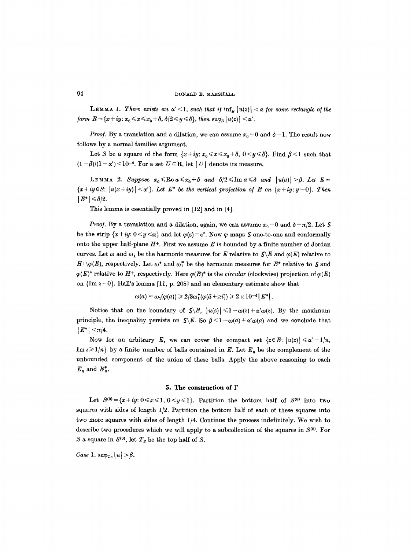### 94 DONALD E. MARSHALL

**LEMMA 1.** There exists an  $\alpha' < 1$ , such that if  $\inf_R |u(z)| < \alpha$  for some rectangle of the *form*  $R = \{x+iy: x_0 \le x \le x_0 + \delta, \delta/2 \le y \le \delta\}$ *, then*  $\sup_R |u(z)| < \alpha'$ .

*Proof.* By a translation and a dilation, we can assume  $x_0 = 0$  and  $\delta = 1$ . The result now follows by a normal families argument.

Let S be a square of the form  $\{x+iy: x_0 \le x \le x_0+\delta, 0 \le y \le \delta\}$ . Find  $\beta < 1$  such that  $(1 - \beta)/(1 - \alpha')$  < 10<sup>-4</sup>. For a set  $U \subseteq \mathbb{R}$ , let | U| denote its measure.

LEMMA 2. Suppose  $x_0 \leq \text{Re } a \leq x_0 + \delta$  and  $\delta/2 \leq \text{Im } a \leq \delta$  and  $|u(a)| > \beta$ . Let  $E =$  $\{x+iy\in S: |u(x+iy)| < \alpha'\}$ . Let  $E^*$  be the vertical projection of E on  $\{x+iy: y=0\}$ . Then  $|E^*| \leq \delta/2$ .

This lemma is essentially proved in [12] and in [4].

*Proof.* By a translation and a dilation, again, we can assume  $x_0 = 0$  and  $\delta = \pi/2$ . Let S be the strip  $\{x+iy: 0 \le y \le \pi\}$  and let  $\varphi(z) = e^z$ . Now  $\varphi$  maps  $S$  one-to-one and conformally onto the upper half-plane  $H^+$ . First we assume E is bounded by a finite number of Jordan curves. Let  $\omega$  and  $\omega_1$  be the harmonic measures for E relative to  $\mathcal{S}\backslash E$  and  $\varphi(E)$  relative to  $H^+\varphi(E)$ , respectively. Let  $\omega^*$  and  $\omega_1^*$  be the harmonic measures for  $E^*$  relative to S and  $\varphi(E)^*$  relative to H<sup>+</sup>, respectively. Here  $\varphi(E)^*$  is the *circular* (clockwise) projection of  $\varphi(E)$ on  ${Im z=0}$ . Hall's lemma [11, p. 208] and an elementary estimate show that

$$
\omega(a)=\omega_1(\varphi(a))\geqslant 2/3\omega_1^*(\varphi(\bar{a}+\pi i))\geqslant 2\times 10^{-4}\left|E^*\right|.
$$

Notice that on the boundary of  $S \ E, |u(z)| \leq 1 - \omega(z) + \alpha' \omega(z)$ . By the maximum principle, the inequality persists on  $S \ E$ . So  $\beta \leq 1-\omega(a) + \alpha' \omega(a)$  and we conclude that  $|E^*| < \pi/4$ .

Now for an arbitrary E, we can cover the compact set  $\{z \in E: |u(z)| \leq \alpha' - 1/n, \}$  $\text{Im } z \geqslant 1/n$  by a finite number of balls contained in E. Let  $E_n$  be the complement of the unbounded component of the union of these balls. Apply the above reasoning to each  $E_n$  and  $E_n^*$ .

### **5. The construction of F**

Let  $S^{(0)} = \{x+iy: 0 \le x \le 1, 0 \le y \le 1\}$ . Partition the bottom half of  $S^{(0)}$  into two squares with sides of length 1/2. Partition the bottom half of each of these squares into two more squares with sides of length 1/4. Continue the process indefinitely. We wish to describe two procedures which we will apply to a subcollection of the squares in  $S^{(0)}$ . For S a square in  $S^{(0)}$ , let  $T_S$  be the top half of S.

Case 1.  $\sup_{Ts} |u| > \beta$ .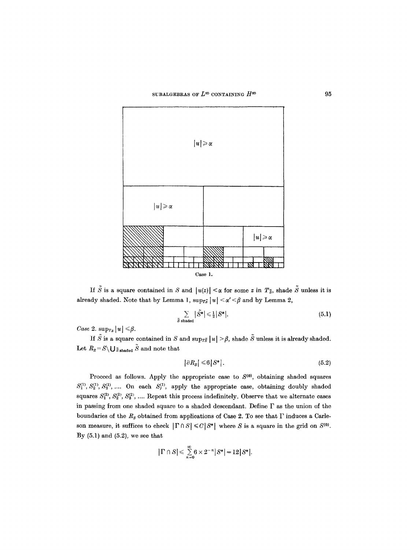

If  $\tilde{S}$  is a square contained in S and  $|u(z)| < \alpha$  for some z in  $T_{\tilde{S}}$ , shade  $\tilde{S}$  unless it is already shaded. Note that by Lemma 1,  $\sup_{T\tilde{s}} |u| < \alpha' < \beta$  and by Lemma 2,

$$
\sum_{\tilde{S} \text{ shaded}} |\tilde{S}^*| \leq \frac{1}{2} |S^*|.
$$
\n(5.1)

*Case* 2.  $\sup_{Ts} |u| \leq \beta$ .

If  $\tilde{S}$  is a square contained in S and sup<sub>TS</sub>  $|u| > \beta$ , shade  $\tilde{S}$  unless it is already shaded. Let  $R_{\scriptscriptstyle S}\!=\!{\cal S}\backslash\bigcup{\scriptscriptstyle{\tilde S}\, \text{shaded}}\, \tilde{{\cal S}}$  and note that

$$
\left|\partial R_S\right| \leq 6\left|S^*\right|.\tag{5.2}
$$

Proceed as follows. Apply the appropriate case to  $S^{(0)}$ , obtaining shaded squares  $S_1^{(1)}, S_2^{(1)}, S_3^{(1)}, \ldots$  On each  $S_j^{(1)}$ , apply the appropriate case, obtaining doubly shaded squares  $S_1^{(2)}, S_2^{(2)}, S_3^{(2)}, \dots$  Repeat this process indefinitely. Observe that we alternate cases in passing from one shaded square to a shaded descendant. Define  $\Gamma$  as the union of the boundaries of the  $R_s$  obtained from applications of Case 2. To see that  $\Gamma$  induces a Carleson measure, it suffices to check  $|\Gamma \cap S| \leq C |S^*|$  where S is a square in the grid on  $S^{(0)}$ . By  $(5.1)$  and  $(5.2)$ , we see that

$$
|\Gamma\cap S|\leqslant \sum\limits_{n=0}^{\infty}6\times 2^{-n}|S^*|=12|S^*|.
$$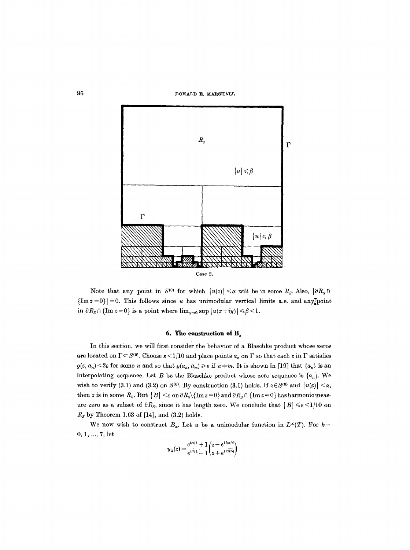96 DONALD E. MARSHALL



Note that any point in  $S^{(0)}$  for which  $|u(z)| < \alpha$  will be in some  $R_S$ . Also,  $|\partial R_S \cap$  ${Im z=0}|=0$ . This follows since u has unimodular vertical limits a.e. and any<sup>th</sup>osint in  $\partial R_s \cap {\text{Im} } z = 0$  is a point where  $\lim_{y\to 0} \sup |u(x+iy)| \leq \beta < 1$ .

# 6. The construction of  $B_{\gamma}$

In this section, we will first consider the behavior of a Blaschke product whose zeros are located on  $\Gamma \subset S^{(0)}$ . Choose  $\varepsilon \leq 1/10$  and place points  $a_n$  on  $\Gamma$  so that each z in  $\Gamma$  satisfies  $\rho(z, a_n) < 2\varepsilon$  for some *n* and so that  $\rho(a_n, a_m) \geq \varepsilon$  if  $n+m$ . It is shown in [19] that  $\{a_n\}$  is an interpolating sequence. Let B be the Blaschke product whose zero sequence is  $\{a_n\}$ . We wish to verify (3.1) and (3.2) on  $S^{(0)}$ . By construction (3.1) holds. If  $z \in S^{(0)}$  and  $|u(z)| < \alpha$ , then z is in some  $R_s$ . But  $|B| \leq \varepsilon$  on  $\partial R_s \setminus {\text{Im} } z = 0$  and  $\partial R_s \cap {\text{Im} } z = 0$  has harmonic measure zero as a subset of  $\partial R_{s}$ , since it has length zero. We conclude that  $|B| \leq \varepsilon \leq 1/10$  on *Rs* by Theorem 1.63 of [14], and (3.2) holds.

We now wish to construct  $B_{\alpha}$ . Let u be a unimodular function in  $L^{\infty}(T)$ . For  $k=$ 0, 1, ..., 7, let

$$
\psi_k(z)=\frac{e^{i\pi/4}+1}{e^{i\pi/4}-1}\bigg(\!\frac{z-e^{i\,k\pi/4}}{z+e^{i\,k\pi/4}}\!\bigg)
$$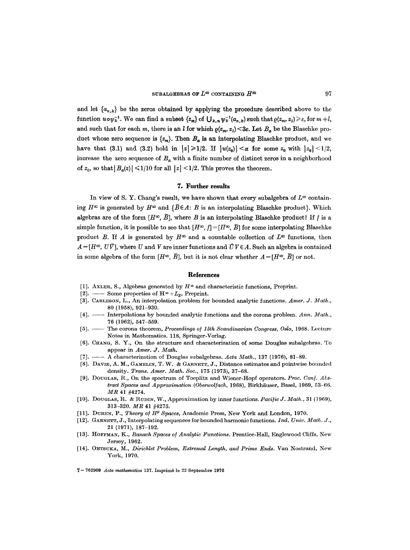and let  ${a_{n,k}}$  be the zeros obtained by applying the procedure described above to the function  $u \circ \psi_k^{-1}$ . We can find a subset  $\{z_m\}$  of  $\bigcup_{k,n} \psi_k^{-1}(a_{n,k})$  such that  $\rho(z_m, z_1) \geq \varepsilon$ , for  $m + l$ , and such that for each m, there is an l for which  $\rho(z_m, z_i) < 3\varepsilon$ . Let  $B_{\alpha}$  be the Blaschke product whose zero sequence is  $\{z_m\}$ . Then  $B_{\alpha}$  is an interpolating Blaschke product, and we have that (3.1) and (3.2) hold in  $|z| \geq 1/2$ . If  $|u(z_0)| < \alpha$  for some  $z_0$  with  $|z_0| < 1/2$ , increase the zero sequence of  $B_{\alpha}$  with a finite number of distinct zeros in a neighborhood of  $z_0$ , so that  $|B_{\alpha}(z)| \leq 1/10$  for all  $|z| \leq 1/2$ . This proves the theorem.

#### **7. Further results**

In view of S. Y. Chang's result, we have shown that every subalgebra of  $L^{\infty}$  containing  $H^{\infty}$  is generated by  $H^{\infty}$  and  $\{\overline{B} \in A: B$  is an interpolating Blaschke product}. Which algebras are of the form  $[H^{\infty}, \bar{B}]$ , where B is an interpolating Blaschke product? If f is a simple function, it is possible to see that  $[H^{\infty}, f] = [H^{\infty}, \overline{B}]$  for some interpolating Blaschke product B. If A is generated by  $H^{\infty}$  and a countable collection of  $L^{\infty}$  functions, then  $A = [H^{\infty}, U\vec{V}]$ , where U and V are inner functions and  $\vec{U}V \in A$ . Such an algebra is contained in some algebra of the form  $[H^{\infty}, \overline{B}]$ , but it is not clear whether  $A = [H^{\infty}, \overline{B}]$  or not.

### **References**

- [1]. AXLER, S., Algebras generated by  $H^{\infty}$  and characteristic functions, Preprint.
- [2]. Some properties of  $H^{\infty} + L_{E}$ , Preprint.
- [3]. CARLESON, L., An interpolation problem for bounded analytic functions. Amer. J. Math., 80 (1958), 921-930.
- [4]. -- Interpolations by bounded analytic functions and the corona problem. Ann. Math., 76 (1962), 547-559.
- [5]. -- The corona theorem, *Proceedings of 15th Scandinavian Congress, Oslo*, 1968. Lecture Notes in Mathematics. 118, Springer-Verlag.
- [6]. CHANG, S. Y., On the structure and characterization of some Douglas subalgebras. To appear in *Amer. J. Math.*
- [7]. -- A characterization of Douglas subalgebras. Acta Math., 137 (1976), 81-89.
- [8]. DAVIE, A. M., GAMELIN, T. W. & GARNETT, J., Distance estimates and pointwise bounded density. *Trans. Amer. Math. Soc.,* 175 (1973), 37-68.
- [9]. DOUGLAS, R., On the spectrum of Tocplitz and Wiener-Hopf operators. *Proe. Con]. Abstract Spaces and Approximation (Oberwolfach, 1968), Birkhäuser, Basel, 1969, 53-66. MR* 41 #4274.
- [10]. DOUGLAS, R. & RUDIN, W., Approximation by inner functions. *Pacific J. Math.*, 31 (1969), 313-320. *MR* 41 #4275.
- [11]. DUREN, P., *Theory of H<sup>p</sup> Spaces*, Academic Press, New York and London, 1970.
- [12]. GARNETT, J., Interpolating sequences for bounded harmonic functions. *Ind. Univ. Math. J.*, 21 (1971), 187-192.
- [13]. HOFFMAN, K., *Banach Spaces of Analytic Functions*. Prentice-Hall, Englewood Cliffs, New Jersey, 1962.
- [14]. OHTSUKA, M., *Dirichlet Problem, Extremal Length, and Prime Ends*. Van Nostrand, New York, 1970.

**7- 762909** *Acta mathematica* **137. Tmprim6 le 22 Septembre 1976**